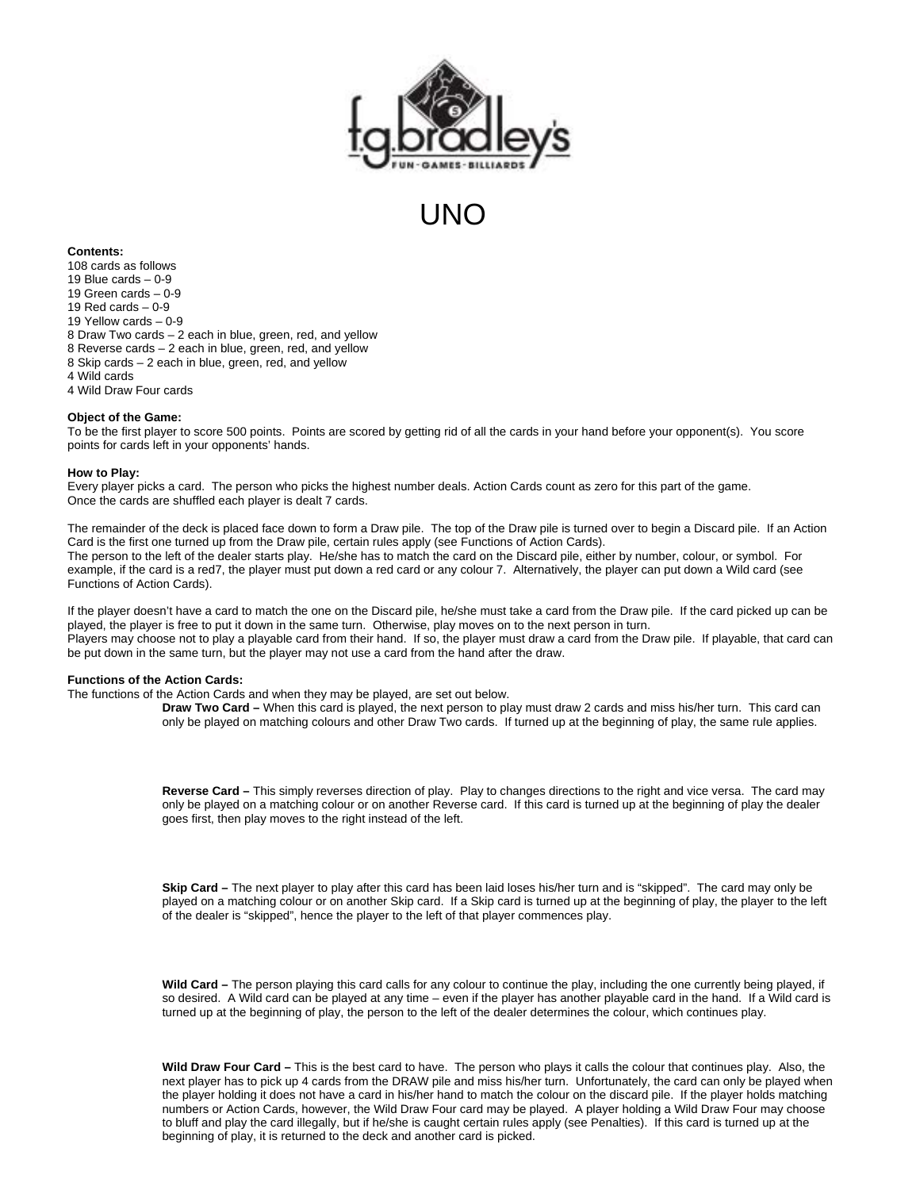

# **LINO**

# **Contents:**

108 cards as follows 19 Blue cards  $-0.9$ 19 Green cards – 0-9 19 Red cards – 0-9 19 Yellow cards – 0-9 8 Draw Two cards – 2 each in blue, green, red, and yellow 8 Reverse cards – 2 each in blue, green, red, and yellow 8 Skip cards – 2 each in blue, green, red, and yellow 4 Wild cards 4 Wild Draw Four cards

### **Object of the Game:**

To be the first player to score 500 points. Points are scored by getting rid of all the cards in your hand before your opponent(s). You score points for cards left in your opponents' hands.

#### **How to Play:**

Every player picks a card. The person who picks the highest number deals. Action Cards count as zero for this part of the game. Once the cards are shuffled each player is dealt 7 cards.

The remainder of the deck is placed face down to form a Draw pile. The top of the Draw pile is turned over to begin a Discard pile. If an Action Card is the first one turned up from the Draw pile, certain rules apply (see Functions of Action Cards). The person to the left of the dealer starts play. He/she has to match the card on the Discard pile, either by number, colour, or symbol. For example, if the card is a red7, the player must put down a red card or any colour 7. Alternatively, the player can put down a Wild card (see Functions of Action Cards).

If the player doesn't have a card to match the one on the Discard pile, he/she must take a card from the Draw pile. If the card picked up can be played, the player is free to put it down in the same turn. Otherwise, play moves on to the next person in turn. Players may choose not to play a playable card from their hand. If so, the player must draw a card from the Draw pile. If playable, that card can be put down in the same turn, but the player may not use a card from the hand after the draw.

### **Functions of the Action Cards:**

The functions of the Action Cards and when they may be played, are set out below.

**Draw Two Card –** When this card is played, the next person to play must draw 2 cards and miss his/her turn. This card can only be played on matching colours and other Draw Two cards. If turned up at the beginning of play, the same rule applies.

**Reverse Card –** This simply reverses direction of play. Play to changes directions to the right and vice versa. The card may only be played on a matching colour or on another Reverse card. If this card is turned up at the beginning of play the dealer goes first, then play moves to the right instead of the left.

**Skip Card –** The next player to play after this card has been laid loses his/her turn and is "skipped". The card may only be played on a matching colour or on another Skip card. If a Skip card is turned up at the beginning of play, the player to the left of the dealer is "skipped", hence the player to the left of that player commences play.

**Wild Card –** The person playing this card calls for any colour to continue the play, including the one currently being played, if so desired. A Wild card can be played at any time – even if the player has another playable card in the hand. If a Wild card is turned up at the beginning of play, the person to the left of the dealer determines the colour, which continues play.

**Wild Draw Four Card –** This is the best card to have. The person who plays it calls the colour that continues play. Also, the next player has to pick up 4 cards from the DRAW pile and miss his/her turn. Unfortunately, the card can only be played when the player holding it does not have a card in his/her hand to match the colour on the discard pile. If the player holds matching numbers or Action Cards, however, the Wild Draw Four card may be played. A player holding a Wild Draw Four may choose to bluff and play the card illegally, but if he/she is caught certain rules apply (see Penalties). If this card is turned up at the beginning of play, it is returned to the deck and another card is picked.